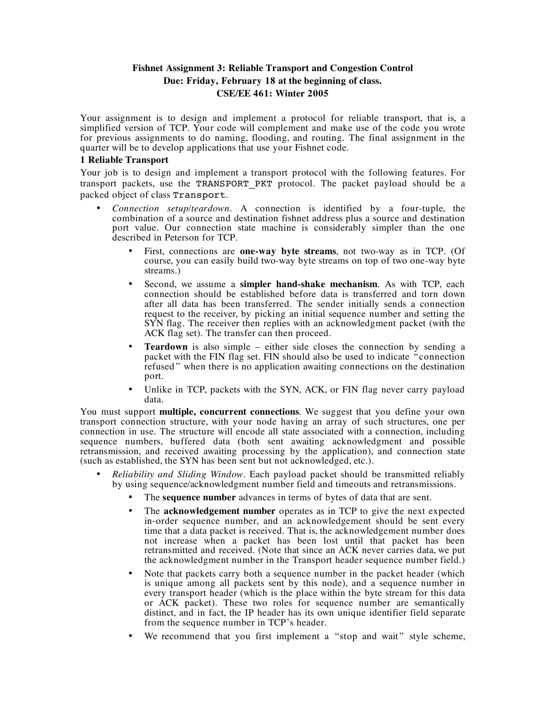## **Fishnet Assignment 3: Reliable Transport and Congestion Control Due: Friday, February 18 at the beginning of class. CSE/EE 461: Winter 2005**

Your assignment is to design and implement a protocol for reliable transport, that is, a simplified version of TCP. Your code will complement and make use of the code you wrote for previous assignments to do naming, flooding, and routing. The final assignment in the quarter will be to develop applications that use your Fishnet code.

## **1 Reliable Transport**

Your job is to design and implement a transport protocol with the following features. For transport packets, use the TRANSPORT PKT protocol. The packet payload should be a packed object of class Transport.

- *Connection setup/teardown*. A connection is identified by a four-tuple, the combination of a source and destination fishnet address plus a source and destination port value. Our connection state machine is considerably simpler than the one described in Peterson for TCP.
	- First, connections are **one-way byte streams**, not two-way as in TCP. (Of course, you can easily build two-way byte streams on top of two one-way byte streams.)
	- Second, we assume a **simpler hand-shake mechanism**. As with TCP, each connection should be established before data is transferred and torn down after all data has been transferred. The sender initially sends a connection request to the receiver, by picking an initial sequence number and setting the SYN flag. The receiver then replies with an acknowledgment packet (with the ACK flag set). The transfer can then proceed.
	- **Teardown** is also simple either side closes the connection by sending a packet with the FIN flag set. FIN should also be used to indicate "connection refused " when there is no application awaiting connections on the destination port.
	- Unlike in TCP, packets with the SYN, ACK, or FIN flag never carry payload data.

You must support **multiple, concurrent connections**. We suggest that you define your own transport connection structure, with your node having an array of such structures, one per connection in use. The structure will encode all state associated with a connection, including sequence numbers, buffered data (both sent awaiting acknowledgment and possible retransmission, and received awaiting processing by the application), and connection state (such as established, the SYN has been sent but not acknowledged, etc.).

- *Reliability and Sliding Window*. Each payload packet should be transmitted reliably by using sequence/acknowledgment number field and timeouts and retransmissions.
	- The **sequence number** advances in terms of bytes of data that are sent.
	- The **acknowledgement number** operates as in TCP to give the next expected in-order sequence number, and an acknowledgement should be sent every time that a data packet is received. That is, the acknowledgement number does not increase when a packet has been lost until that packet has been retransmitted and received. (Note that since an ACK never carries data, we put the acknowledgment number in the Transport header sequence number field.)
	- Note that packets carry both a sequence number in the packet header (which is unique among all packets sent by this node), and a sequence number in every transport header (which is the place within the byte stream for this data or ACK packet). These two roles for sequence number are semantically distinct, and in fact, the IP header has its own unique identifier field separate from the sequence number in TCP's header.
	- We recommend that you first implement a "stop and wait" style scheme,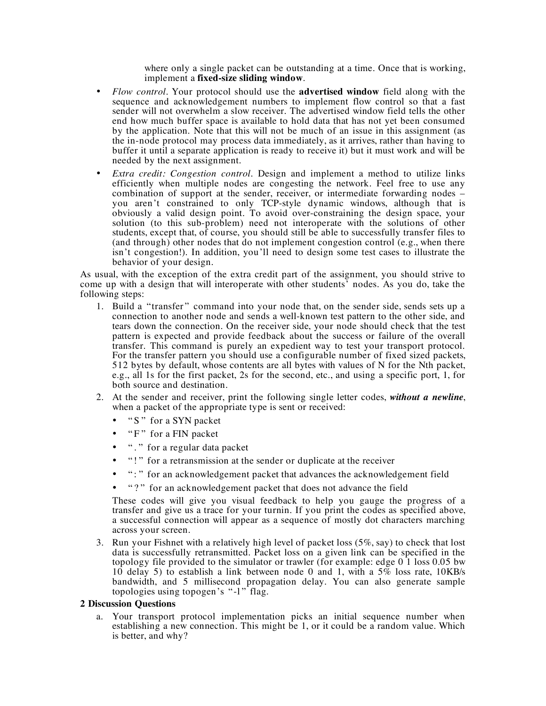where only a single packet can be outstanding at a time. Once that is working, implement a **fixed-size sliding window**.

- *Flow control*. Your protocol should use the **advertised window** field along with the sequence and acknowledgement numbers to implement flow control so that a fast sender will not overwhelm a slow receiver. The advertised window field tells the other end how much buffer space is available to hold data that has not yet been consumed by the application. Note that this will not be much of an issue in this assignment (as the in-node protocol may process data immediately, as it arrives, rather than having to buffer it until a separate application is ready to receive it) but it must work and will be needed by the next assignment.
- *Extra credit: Congestion control.* Design and implement a method to utilize links efficiently when multiple nodes are congesting the network. Feel free to use any combination of support at the sender, receiver, or intermediate forwarding nodes – you aren't constrained to only TCP-style dynamic windows, although that is obviously a valid design point. To avoid over-constraining the design space, your solution (to this sub-problem) need not interoperate with the solutions of other students, except that, of course, you should still be able to successfully transfer files to (and through) other nodes that do not implement congestion control (e.g., when there isn't congestion!). In addition, you'll need to design some test cases to illustrate the behavior of your design.

As usual, with the exception of the extra credit part of the assignment, you should strive to come up with a design that will interoperate with other students' nodes. As you do, take the following steps:

- 1. Build a "transfer " command into your node that, on the sender side, sends sets up a connection to another node and sends a well-known test pattern to the other side, and tears down the connection. On the receiver side, your node should check that the test pattern is expected and provide feedback about the success or failure of the overall For the transfer pattern you should use a configurable number of fixed sized packets, 512 bytes by default, whose contents are all bytes with values of N for the Nth packet, e.g., all 1s for the first packet, 2s for the second, etc., and using a specific port, 1, for both source and destination.
- 2. At the sender and receiver, print the following single letter codes, *without a newline*, when a packet of the appropriate type is sent or received:
	- "S" for a SYN packet
	- "F" for a FIN packet
	- "." for a regular data packet
	- "!" for a retransmission at the sender or duplicate at the receiver
	- ": " for an acknowledgement packet that advances the acknowledgement field
	- "?" for an acknowledgement packet that does not advance the field

These codes will give you visual feedback to help you gauge the progress of a transfer and give us a trace for your turnin. If you print the codes as specified above, a successful connection will appear as a sequence of mostly dot characters marching across your screen.

3. Run your Fishnet with a relatively high level of packet loss (5%, say) to check that lost data is successfully retransmitted. Packet loss on a given link can be specified in the topology file provided to the simulator or trawler (for example: edge  $0<sup>1</sup>$  loss 0.05 bw 10 delay 5) to establish a link between node 0 and 1, with a 5% loss rate, 10KB/s bandwidth, and 5 millisecond propagation delay. You can also generate sample topologies using topogen's "-l " flag.

## **2 Discussion Questions**

a. Your transport protocol implementation picks an initial sequence number when establishing a new connection. This might be 1, or it could be a random value. Which is better, and why?